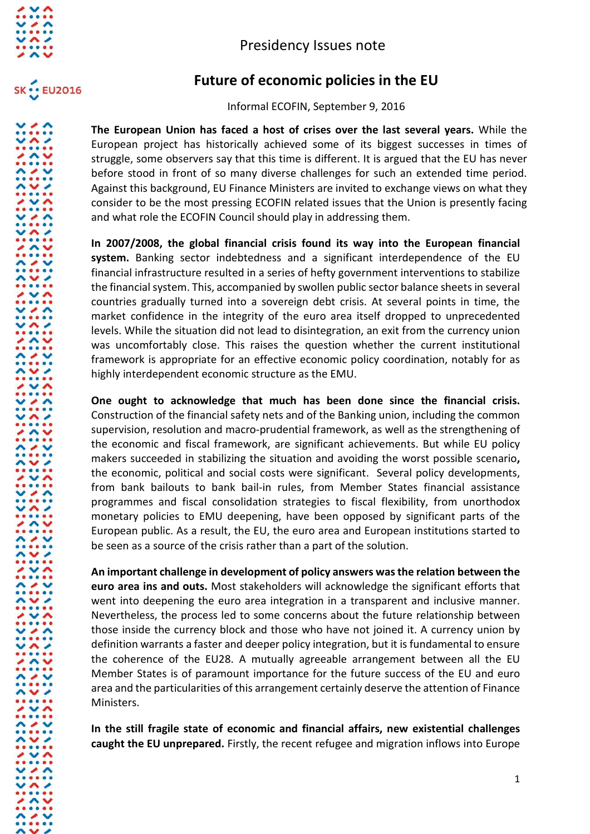



## Presidency Issues note

## **Future of economic policies in the EU**

Informal ECOFIN, September 9, 2016

**The European Union has faced a host of crises over the last several years.** While the European project has historically achieved some of its biggest successes in times of struggle, some observers say that this time is different. It is argued that the EU has never before stood in front of so many diverse challenges for such an extended time period. Against this background, EU Finance Ministers are invited to exchange views on what they consider to be the most pressing ECOFIN related issues that the Union is presently facing and what role the ECOFIN Council should play in addressing them.

**In 2007/2008, the global financial crisis found its way into the European financial system.** Banking sector indebtedness and a significant interdependence of the EU financial infrastructure resulted in a series of hefty government interventions to stabilize the financial system. This, accompanied by swollen public sector balance sheets in several countries gradually turned into a sovereign debt crisis. At several points in time, the market confidence in the integrity of the euro area itself dropped to unprecedented levels. While the situation did not lead to disintegration, an exit from the currency union was uncomfortably close. This raises the question whether the current institutional framework is appropriate for an effective economic policy coordination, notably for as highly interdependent economic structure as the EMU.

**One ought to acknowledge that much has been done since the financial crisis.**  Construction of the financial safety nets and of the Banking union, including the common supervision, resolution and macro-prudential framework, as well as the strengthening of the economic and fiscal framework, are significant achievements. But while EU policy makers succeeded in stabilizing the situation and avoiding the worst possible scenario**,** the economic, political and social costs were significant. Several policy developments, from bank bailouts to bank bail-in rules, from Member States financial assistance programmes and fiscal consolidation strategies to fiscal flexibility, from unorthodox monetary policies to EMU deepening, have been opposed by significant parts of the European public. As a result, the EU, the euro area and European institutions started to be seen as a source of the crisis rather than a part of the solution.

**An important challenge in development of policy answers was the relation between the euro area ins and outs.** Most stakeholders will acknowledge the significant efforts that went into deepening the euro area integration in a transparent and inclusive manner. Nevertheless, the process led to some concerns about the future relationship between those inside the currency block and those who have not joined it. A currency union by definition warrants a faster and deeper policy integration, but it is fundamental to ensure the coherence of the EU28. A mutually agreeable arrangement between all the EU Member States is of paramount importance for the future success of the EU and euro area and the particularities of this arrangement certainly deserve the attention of Finance Ministers.

**In the still fragile state of economic and financial affairs, new existential challenges caught the EU unprepared.** Firstly, the recent refugee and migration inflows into Europe